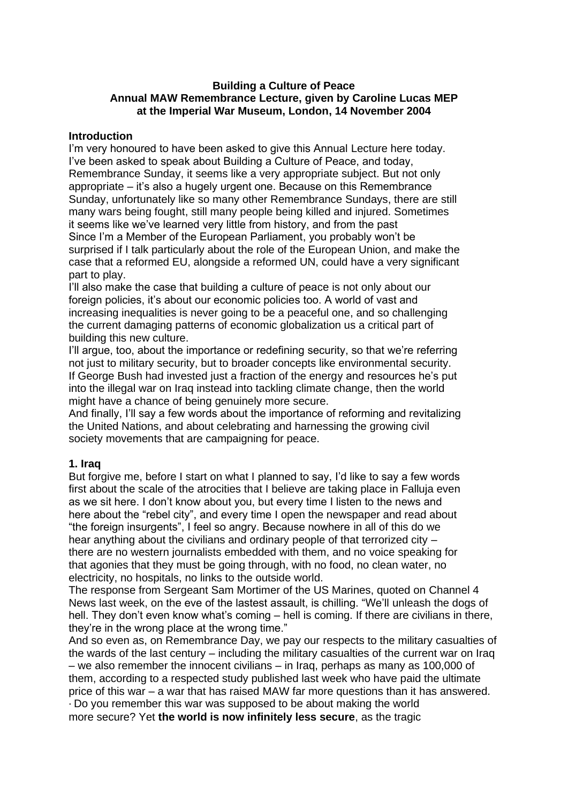# **Building a Culture of Peace Annual MAW Remembrance Lecture, given by Caroline Lucas MEP at the Imperial War Museum, London, 14 November 2004**

# **Introduction**

I'm very honoured to have been asked to give this Annual Lecture here today. I've been asked to speak about Building a Culture of Peace, and today, Remembrance Sunday, it seems like a very appropriate subject. But not only appropriate – it's also a hugely urgent one. Because on this Remembrance Sunday, unfortunately like so many other Remembrance Sundays, there are still many wars being fought, still many people being killed and injured. Sometimes it seems like we've learned very little from history, and from the past Since I'm a Member of the European Parliament, you probably won't be surprised if I talk particularly about the role of the European Union, and make the case that a reformed EU, alongside a reformed UN, could have a very significant part to play.

I'll also make the case that building a culture of peace is not only about our foreign policies, it's about our economic policies too. A world of vast and increasing inequalities is never going to be a peaceful one, and so challenging the current damaging patterns of economic globalization us a critical part of building this new culture.

I'll argue, too, about the importance or redefining security, so that we're referring not just to military security, but to broader concepts like environmental security. If George Bush had invested just a fraction of the energy and resources he's put into the illegal war on Iraq instead into tackling climate change, then the world might have a chance of being genuinely more secure.

And finally, I'll say a few words about the importance of reforming and revitalizing the United Nations, and about celebrating and harnessing the growing civil society movements that are campaigning for peace.

## **1. Iraq**

But forgive me, before I start on what I planned to say, I'd like to say a few words first about the scale of the atrocities that I believe are taking place in Falluja even as we sit here. I don't know about you, but every time I listen to the news and here about the "rebel city", and every time I open the newspaper and read about "the foreign insurgents", I feel so angry. Because nowhere in all of this do we hear anything about the civilians and ordinary people of that terrorized city – there are no western journalists embedded with them, and no voice speaking for that agonies that they must be going through, with no food, no clean water, no electricity, no hospitals, no links to the outside world.

The response from Sergeant Sam Mortimer of the US Marines, quoted on Channel 4 News last week, on the eve of the lastest assault, is chilling. "We'll unleash the dogs of hell. They don't even know what's coming – hell is coming. If there are civilians in there, they're in the wrong place at the wrong time."

And so even as, on Remembrance Day, we pay our respects to the military casualties of the wards of the last century – including the military casualties of the current war on Iraq – we also remember the innocent civilians – in Iraq, perhaps as many as 100,000 of them, according to a respected study published last week who have paid the ultimate price of this war – a war that has raised MAW far more questions than it has answered. · Do you remember this war was supposed to be about making the world

more secure? Yet **the world is now infinitely less secure**, as the tragic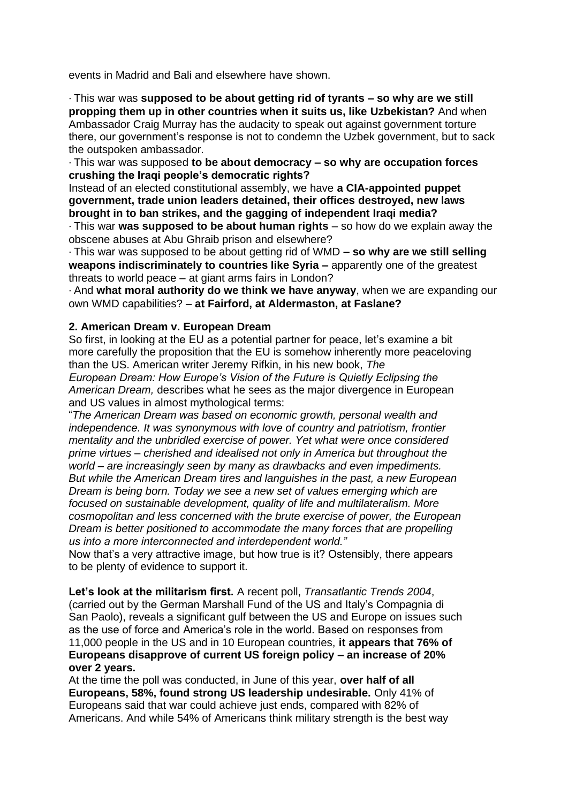events in Madrid and Bali and elsewhere have shown.

· This war was **supposed to be about getting rid of tyrants – so why are we still propping them up in other countries when it suits us, like Uzbekistan?** And when Ambassador Craig Murray has the audacity to speak out against government torture there, our government's response is not to condemn the Uzbek government, but to sack the outspoken ambassador.

· This war was supposed **to be about democracy – so why are occupation forces crushing the Iraqi people's democratic rights?**

Instead of an elected constitutional assembly, we have **a CIA-appointed puppet government, trade union leaders detained, their offices destroyed, new laws brought in to ban strikes, and the gagging of independent Iraqi media?**

· This war **was supposed to be about human rights** – so how do we explain away the obscene abuses at Abu Ghraib prison and elsewhere?

· This war was supposed to be about getting rid of WMD **– so why are we still selling weapons indiscriminately to countries like Syria –** apparently one of the greatest threats to world peace – at giant arms fairs in London?

· And **what moral authority do we think we have anyway**, when we are expanding our own WMD capabilities? – **at Fairford, at Aldermaston, at Faslane?**

## **2. American Dream v. European Dream**

So first, in looking at the EU as a potential partner for peace, let's examine a bit more carefully the proposition that the EU is somehow inherently more peaceloving than the US. American writer Jeremy Rifkin, in his new book, *The European Dream: How Europe's Vision of the Future is Quietly Eclipsing the*

*American Dream,* describes what he sees as the major divergence in European and US values in almost mythological terms:

"*The American Dream was based on economic growth, personal wealth and independence. It was synonymous with love of country and patriotism, frontier mentality and the unbridled exercise of power. Yet what were once considered prime virtues – cherished and idealised not only in America but throughout the world – are increasingly seen by many as drawbacks and even impediments. But while the American Dream tires and languishes in the past, a new European Dream is being born. Today we see a new set of values emerging which are focused on sustainable development, quality of life and multilateralism. More cosmopolitan and less concerned with the brute exercise of power, the European Dream is better positioned to accommodate the many forces that are propelling us into a more interconnected and interdependent world."*

Now that's a very attractive image, but how true is it? Ostensibly, there appears to be plenty of evidence to support it.

**Let's look at the militarism first.** A recent poll, *Transatlantic Trends 2004*, (carried out by the German Marshall Fund of the US and Italy's Compagnia di San Paolo), reveals a significant gulf between the US and Europe on issues such as the use of force and America's role in the world. Based on responses from 11,000 people in the US and in 10 European countries, **it appears that 76% of Europeans disapprove of current US foreign policy – an increase of 20% over 2 years.**

At the time the poll was conducted, in June of this year, **over half of all Europeans, 58%, found strong US leadership undesirable.** Only 41% of Europeans said that war could achieve just ends, compared with 82% of Americans. And while 54% of Americans think military strength is the best way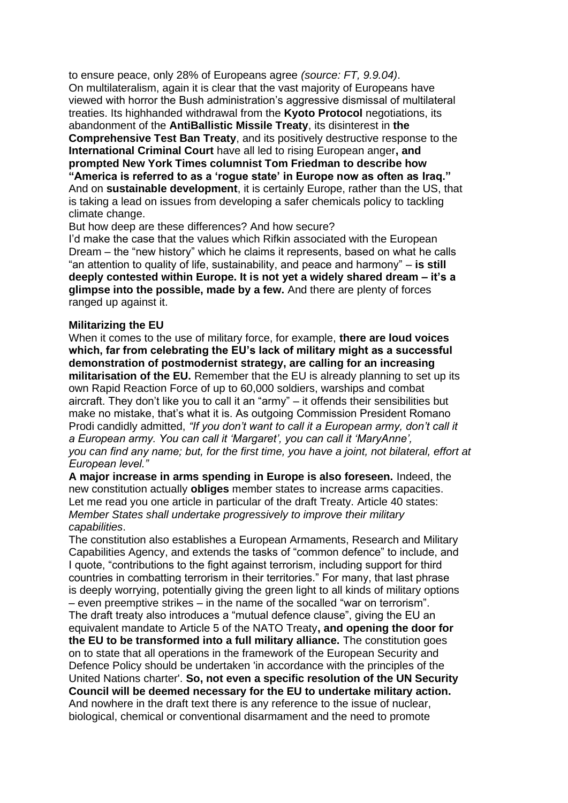to ensure peace, only 28% of Europeans agree *(source: FT, 9.9.04)*. On multilateralism, again it is clear that the vast majority of Europeans have viewed with horror the Bush administration's aggressive dismissal of multilateral treaties. Its highhanded withdrawal from the **Kyoto Protocol** negotiations, its abandonment of the **AntiBallistic Missile Treaty**, its disinterest in **the Comprehensive Test Ban Treaty**, and its positively destructive response to the **International Criminal Court** have all led to rising European anger**, and prompted New York Times columnist Tom Friedman to describe how "America is referred to as a 'rogue state' in Europe now as often as Iraq."** And on **sustainable development**, it is certainly Europe, rather than the US, that is taking a lead on issues from developing a safer chemicals policy to tackling climate change.

But how deep are these differences? And how secure?

I'd make the case that the values which Rifkin associated with the European Dream – the "new history" which he claims it represents, based on what he calls "an attention to quality of life, sustainability, and peace and harmony" – **is still deeply contested within Europe. It is not yet a widely shared dream – it's a glimpse into the possible, made by a few.** And there are plenty of forces ranged up against it.

#### **Militarizing the EU**

When it comes to the use of military force, for example, **there are loud voices which, far from celebrating the EU's lack of military might as a successful demonstration of postmodernist strategy, are calling for an increasing militarisation of the EU.** Remember that the EU is already planning to set up its own Rapid Reaction Force of up to 60,000 soldiers, warships and combat aircraft. They don't like you to call it an "army" – it offends their sensibilities but make no mistake, that's what it is. As outgoing Commission President Romano Prodi candidly admitted, *"If you don't want to call it a European army, don't call it a European army. You can call it 'Margaret', you can call it 'MaryAnne', you can find any name; but, for the first time, you have a joint, not bilateral, effort at European level."*

**A major increase in arms spending in Europe is also foreseen.** Indeed, the new constitution actually **obliges** member states to increase arms capacities. Let me read you one article in particular of the draft Treaty. Article 40 states: *Member States shall undertake progressively to improve their military capabilities*.

The constitution also establishes a European Armaments, Research and Military Capabilities Agency, and extends the tasks of "common defence" to include, and I quote, "contributions to the fight against terrorism, including support for third countries in combatting terrorism in their territories." For many, that last phrase is deeply worrying, potentially giving the green light to all kinds of military options – even preemptive strikes – in the name of the socalled "war on terrorism". The draft treaty also introduces a "mutual defence clause", giving the EU an equivalent mandate to Article 5 of the NATO Treaty**, and opening the door for the EU to be transformed into a full military alliance.** The constitution goes on to state that all operations in the framework of the European Security and Defence Policy should be undertaken 'in accordance with the principles of the United Nations charter'. **So, not even a specific resolution of the UN Security Council will be deemed necessary for the EU to undertake military action.** And nowhere in the draft text there is any reference to the issue of nuclear, biological, chemical or conventional disarmament and the need to promote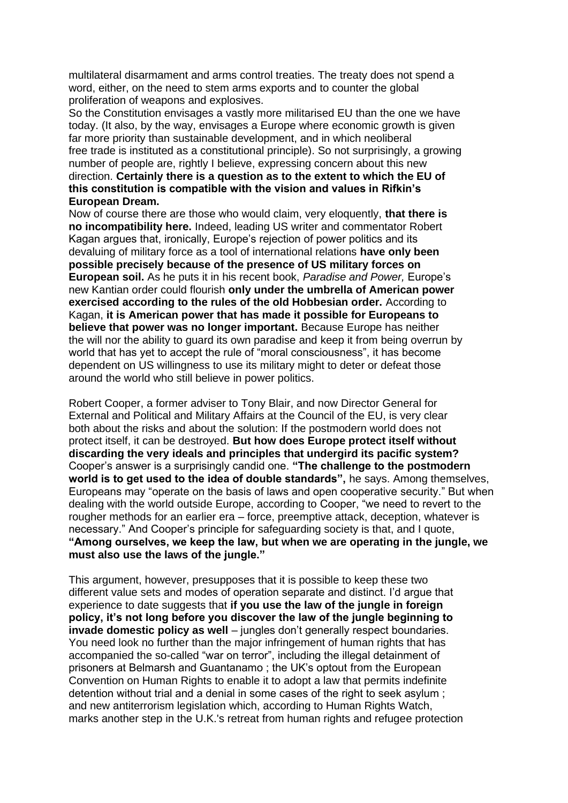multilateral disarmament and arms control treaties. The treaty does not spend a word, either, on the need to stem arms exports and to counter the global proliferation of weapons and explosives.

So the Constitution envisages a vastly more militarised EU than the one we have today. (It also, by the way, envisages a Europe where economic growth is given far more priority than sustainable development, and in which neoliberal free trade is instituted as a constitutional principle). So not surprisingly, a growing number of people are, rightly I believe, expressing concern about this new direction. **Certainly there is a question as to the extent to which the EU of this constitution is compatible with the vision and values in Rifkin's European Dream.**

Now of course there are those who would claim, very eloquently, **that there is no incompatibility here.** Indeed, leading US writer and commentator Robert Kagan argues that, ironically, Europe's rejection of power politics and its devaluing of military force as a tool of international relations **have only been possible precisely because of the presence of US military forces on European soil.** As he puts it in his recent book, *Paradise and Power,* Europe's new Kantian order could flourish **only under the umbrella of American power exercised according to the rules of the old Hobbesian order.** According to Kagan, **it is American power that has made it possible for Europeans to believe that power was no longer important.** Because Europe has neither the will nor the ability to guard its own paradise and keep it from being overrun by world that has yet to accept the rule of "moral consciousness", it has become dependent on US willingness to use its military might to deter or defeat those around the world who still believe in power politics.

Robert Cooper, a former adviser to Tony Blair, and now Director General for External and Political and Military Affairs at the Council of the EU, is very clear both about the risks and about the solution: If the postmodern world does not protect itself, it can be destroyed. **But how does Europe protect itself without discarding the very ideals and principles that undergird its pacific system?** Cooper's answer is a surprisingly candid one. **"The challenge to the postmodern world is to get used to the idea of double standards",** he says. Among themselves, Europeans may "operate on the basis of laws and open cooperative security." But when dealing with the world outside Europe, according to Cooper, "we need to revert to the rougher methods for an earlier era – force, preemptive attack, deception, whatever is necessary." And Cooper's principle for safeguarding society is that, and I quote, **"Among ourselves, we keep the law, but when we are operating in the jungle, we must also use the laws of the jungle."**

This argument, however, presupposes that it is possible to keep these two different value sets and modes of operation separate and distinct. I'd argue that experience to date suggests that **if you use the law of the jungle in foreign policy, it's not long before you discover the law of the jungle beginning to invade domestic policy as well** – jungles don't generally respect boundaries. You need look no further than the major infringement of human rights that has accompanied the so-called "war on terror", including the illegal detainment of prisoners at Belmarsh and Guantanamo ; the UK's optout from the European Convention on Human Rights to enable it to adopt a law that permits indefinite detention without trial and a denial in some cases of the right to seek asylum ; and new antiterrorism legislation which, according to Human Rights Watch, marks another step in the U.K.'s retreat from human rights and refugee protection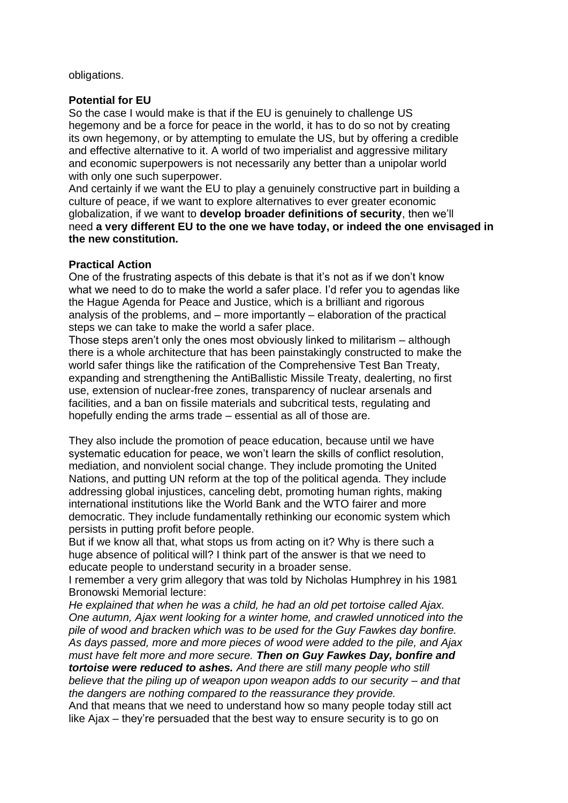obligations.

# **Potential for EU**

So the case I would make is that if the EU is genuinely to challenge US hegemony and be a force for peace in the world, it has to do so not by creating its own hegemony, or by attempting to emulate the US, but by offering a credible and effective alternative to it. A world of two imperialist and aggressive military and economic superpowers is not necessarily any better than a unipolar world with only one such superpower.

And certainly if we want the EU to play a genuinely constructive part in building a culture of peace, if we want to explore alternatives to ever greater economic globalization, if we want to **develop broader definitions of security**, then we'll need **a very different EU to the one we have today, or indeed the one envisaged in the new constitution.**

## **Practical Action**

One of the frustrating aspects of this debate is that it's not as if we don't know what we need to do to make the world a safer place. I'd refer you to agendas like the Hague Agenda for Peace and Justice, which is a brilliant and rigorous analysis of the problems, and – more importantly – elaboration of the practical steps we can take to make the world a safer place.

Those steps aren't only the ones most obviously linked to militarism – although there is a whole architecture that has been painstakingly constructed to make the world safer things like the ratification of the Comprehensive Test Ban Treaty, expanding and strengthening the AntiBallistic Missile Treaty, dealerting, no first use, extension of nuclear-free zones, transparency of nuclear arsenals and facilities, and a ban on fissile materials and subcritical tests, regulating and hopefully ending the arms trade – essential as all of those are.

They also include the promotion of peace education, because until we have systematic education for peace, we won't learn the skills of conflict resolution, mediation, and nonviolent social change. They include promoting the United Nations, and putting UN reform at the top of the political agenda. They include addressing global injustices, canceling debt, promoting human rights, making international institutions like the World Bank and the WTO fairer and more democratic. They include fundamentally rethinking our economic system which persists in putting profit before people.

But if we know all that, what stops us from acting on it? Why is there such a huge absence of political will? I think part of the answer is that we need to educate people to understand security in a broader sense.

I remember a very grim allegory that was told by Nicholas Humphrey in his 1981 Bronowski Memorial lecture:

*He explained that when he was a child, he had an old pet tortoise called Ajax. One autumn, Ajax went looking for a winter home, and crawled unnoticed into the pile of wood and bracken which was to be used for the Guy Fawkes day bonfire. As days passed, more and more pieces of wood were added to the pile, and Ajax must have felt more and more secure. Then on Guy Fawkes Day, bonfire and tortoise were reduced to ashes. And there are still many people who still believe that the piling up of weapon upon weapon adds to our security – and that the dangers are nothing compared to the reassurance they provide.*

And that means that we need to understand how so many people today still act like Ajax – they're persuaded that the best way to ensure security is to go on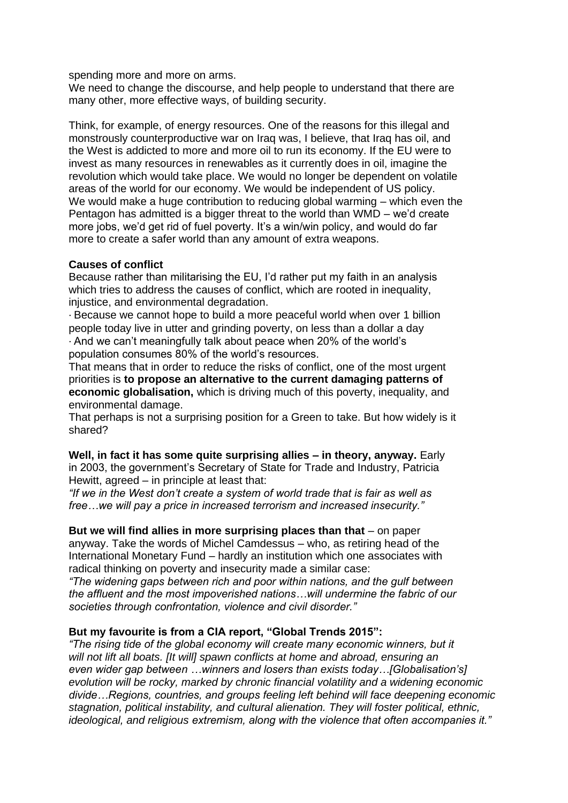spending more and more on arms.

We need to change the discourse, and help people to understand that there are many other, more effective ways, of building security.

Think, for example, of energy resources. One of the reasons for this illegal and monstrously counterproductive war on Iraq was, I believe, that Iraq has oil, and the West is addicted to more and more oil to run its economy. If the EU were to invest as many resources in renewables as it currently does in oil, imagine the revolution which would take place. We would no longer be dependent on volatile areas of the world for our economy. We would be independent of US policy. We would make a huge contribution to reducing global warming – which even the Pentagon has admitted is a bigger threat to the world than WMD – we'd create more jobs, we'd get rid of fuel poverty. It's a win/win policy, and would do far more to create a safer world than any amount of extra weapons.

## **Causes of conflict**

Because rather than militarising the EU, I'd rather put my faith in an analysis which tries to address the causes of conflict, which are rooted in inequality, injustice, and environmental degradation.

· Because we cannot hope to build a more peaceful world when over 1 billion people today live in utter and grinding poverty, on less than a dollar a day

· And we can't meaningfully talk about peace when 20% of the world's population consumes 80% of the world's resources.

That means that in order to reduce the risks of conflict, one of the most urgent priorities is **to propose an alternative to the current damaging patterns of economic globalisation,** which is driving much of this poverty, inequality, and environmental damage.

That perhaps is not a surprising position for a Green to take. But how widely is it shared?

**Well, in fact it has some quite surprising allies – in theory, anyway.** Early in 2003, the government's Secretary of State for Trade and Industry, Patricia Hewitt, agreed – in principle at least that:

*"If we in the West don't create a system of world trade that is fair as well as free…we will pay a price in increased terrorism and increased insecurity."*

**But we will find allies in more surprising places than that** – on paper anyway. Take the words of Michel Camdessus – who, as retiring head of the International Monetary Fund – hardly an institution which one associates with radical thinking on poverty and insecurity made a similar case:

*"The widening gaps between rich and poor within nations, and the gulf between the affluent and the most impoverished nations…will undermine the fabric of our societies through confrontation, violence and civil disorder."*

#### **But my favourite is from a CIA report, "Global Trends 2015":**

*"The rising tide of the global economy will create many economic winners, but it will not lift all boats. [It will] spawn conflicts at home and abroad, ensuring an even wider gap between …winners and losers than exists today…[Globalisation's] evolution will be rocky, marked by chronic financial volatility and a widening economic divide…Regions, countries, and groups feeling left behind will face deepening economic stagnation, political instability, and cultural alienation. They will foster political, ethnic, ideological, and religious extremism, along with the violence that often accompanies it."*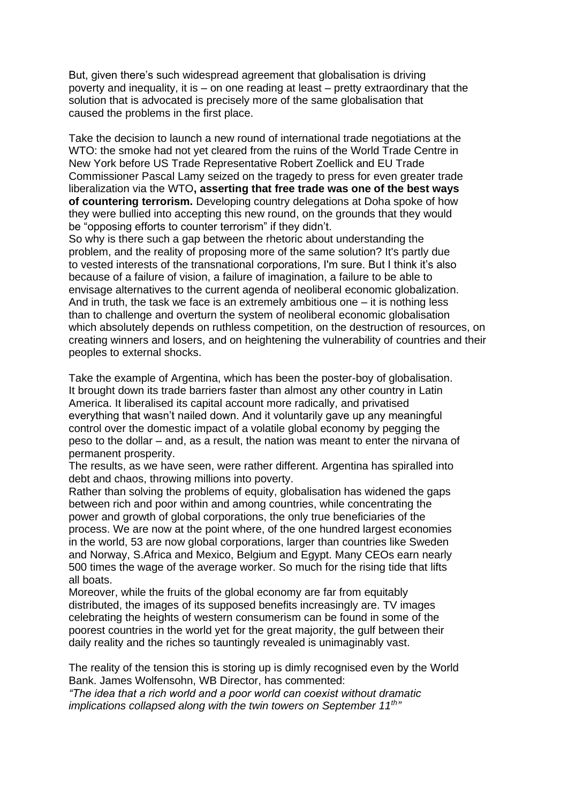But, given there's such widespread agreement that globalisation is driving poverty and inequality, it is – on one reading at least – pretty extraordinary that the solution that is advocated is precisely more of the same globalisation that caused the problems in the first place.

Take the decision to launch a new round of international trade negotiations at the WTO: the smoke had not yet cleared from the ruins of the World Trade Centre in New York before US Trade Representative Robert Zoellick and EU Trade Commissioner Pascal Lamy seized on the tragedy to press for even greater trade liberalization via the WTO**, asserting that free trade was one of the best ways of countering terrorism.** Developing country delegations at Doha spoke of how they were bullied into accepting this new round, on the grounds that they would be "opposing efforts to counter terrorism" if they didn't.

So why is there such a gap between the rhetoric about understanding the problem, and the reality of proposing more of the same solution? It's partly due to vested interests of the transnational corporations, I'm sure. But I think it's also because of a failure of vision, a failure of imagination, a failure to be able to envisage alternatives to the current agenda of neoliberal economic globalization. And in truth, the task we face is an extremely ambitious one  $-$  it is nothing less than to challenge and overturn the system of neoliberal economic globalisation which absolutely depends on ruthless competition, on the destruction of resources, on creating winners and losers, and on heightening the vulnerability of countries and their peoples to external shocks.

Take the example of Argentina, which has been the poster-boy of globalisation. It brought down its trade barriers faster than almost any other country in Latin America. It liberalised its capital account more radically, and privatised everything that wasn't nailed down. And it voluntarily gave up any meaningful control over the domestic impact of a volatile global economy by pegging the peso to the dollar – and, as a result, the nation was meant to enter the nirvana of permanent prosperity.

The results, as we have seen, were rather different. Argentina has spiralled into debt and chaos, throwing millions into poverty.

Rather than solving the problems of equity, globalisation has widened the gaps between rich and poor within and among countries, while concentrating the power and growth of global corporations, the only true beneficiaries of the process. We are now at the point where, of the one hundred largest economies in the world, 53 are now global corporations, larger than countries like Sweden and Norway, S.Africa and Mexico, Belgium and Egypt. Many CEOs earn nearly 500 times the wage of the average worker. So much for the rising tide that lifts all boats.

Moreover, while the fruits of the global economy are far from equitably distributed, the images of its supposed benefits increasingly are. TV images celebrating the heights of western consumerism can be found in some of the poorest countries in the world yet for the great majority, the gulf between their daily reality and the riches so tauntingly revealed is unimaginably vast.

The reality of the tension this is storing up is dimly recognised even by the World Bank. James Wolfensohn, WB Director, has commented:

*"The idea that a rich world and a poor world can coexist without dramatic implications collapsed along with the twin towers on September 11th "*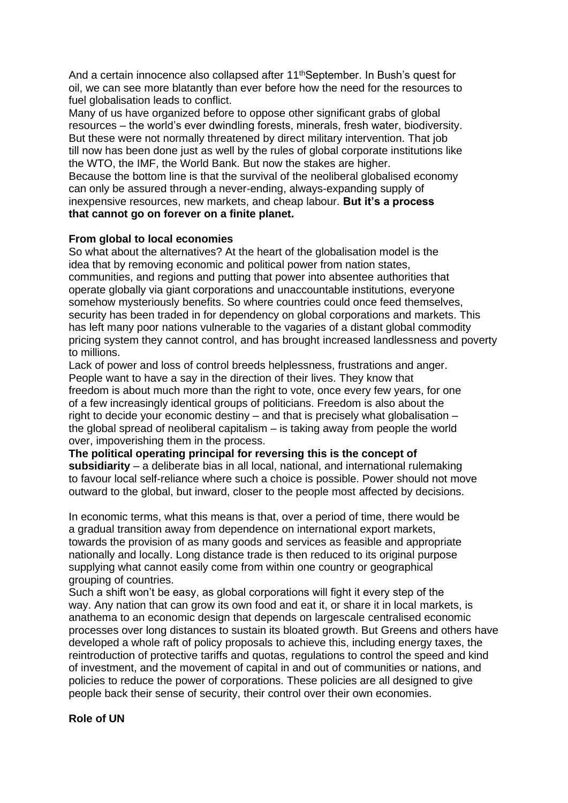And a certain innocence also collapsed after 11<sup>th</sup>September. In Bush's quest for oil, we can see more blatantly than ever before how the need for the resources to fuel globalisation leads to conflict.

Many of us have organized before to oppose other significant grabs of global resources – the world's ever dwindling forests, minerals, fresh water, biodiversity. But these were not normally threatened by direct military intervention. That job till now has been done just as well by the rules of global corporate institutions like the WTO, the IMF, the World Bank. But now the stakes are higher. Because the bottom line is that the survival of the neoliberal globalised economy can only be assured through a never-ending, always-expanding supply of inexpensive resources, new markets, and cheap labour. **But it's a process that cannot go on forever on a finite planet.**

## **From global to local economies**

So what about the alternatives? At the heart of the globalisation model is the idea that by removing economic and political power from nation states, communities, and regions and putting that power into absentee authorities that operate globally via giant corporations and unaccountable institutions, everyone somehow mysteriously benefits. So where countries could once feed themselves, security has been traded in for dependency on global corporations and markets. This has left many poor nations vulnerable to the vagaries of a distant global commodity pricing system they cannot control, and has brought increased landlessness and poverty to millions.

Lack of power and loss of control breeds helplessness, frustrations and anger. People want to have a say in the direction of their lives. They know that freedom is about much more than the right to vote, once every few years, for one of a few increasingly identical groups of politicians. Freedom is also about the right to decide your economic destiny – and that is precisely what globalisation – the global spread of neoliberal capitalism – is taking away from people the world over, impoverishing them in the process.

**The political operating principal for reversing this is the concept of subsidiarity** – a deliberate bias in all local, national, and international rulemaking to favour local self-reliance where such a choice is possible. Power should not move outward to the global, but inward, closer to the people most affected by decisions.

In economic terms, what this means is that, over a period of time, there would be a gradual transition away from dependence on international export markets, towards the provision of as many goods and services as feasible and appropriate nationally and locally. Long distance trade is then reduced to its original purpose supplying what cannot easily come from within one country or geographical grouping of countries.

Such a shift won't be easy, as global corporations will fight it every step of the way. Any nation that can grow its own food and eat it, or share it in local markets, is anathema to an economic design that depends on largescale centralised economic processes over long distances to sustain its bloated growth. But Greens and others have developed a whole raft of policy proposals to achieve this, including energy taxes, the reintroduction of protective tariffs and quotas, regulations to control the speed and kind of investment, and the movement of capital in and out of communities or nations, and policies to reduce the power of corporations. These policies are all designed to give people back their sense of security, their control over their own economies.

## **Role of UN**